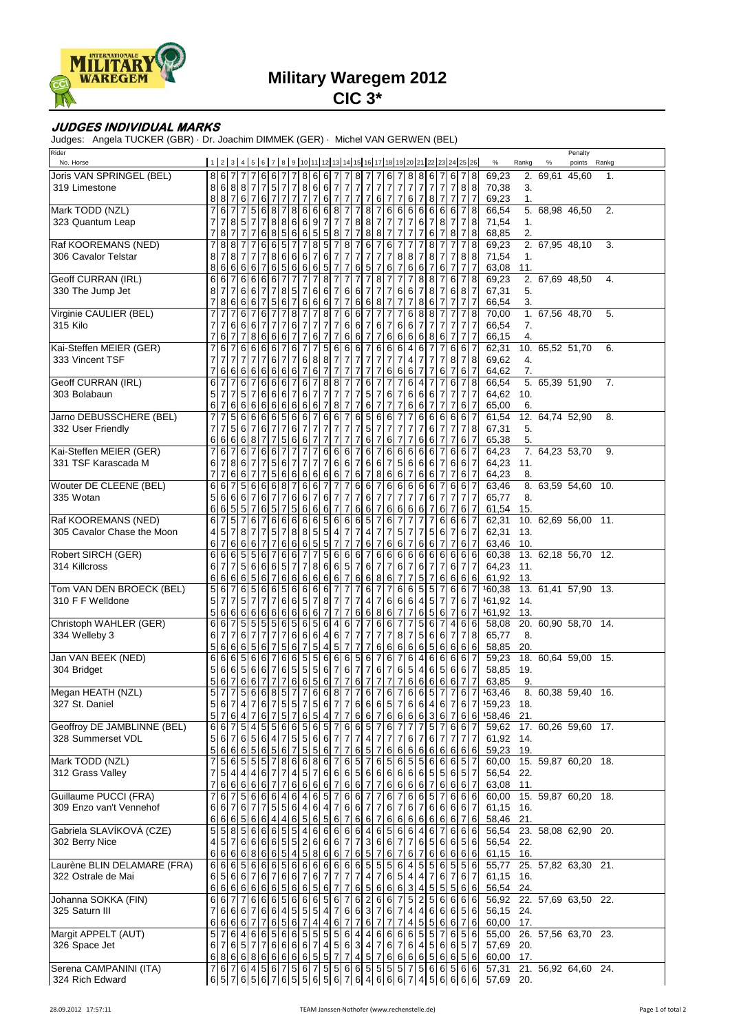

## **Military Waregem 2012**

**CIC 3\***

## **JUDGES INDIVIDUAL MARKS**

Judges: Angela TUCKER (GBR) · Dr. Joachim DIMMEK (GER) · Michel VAN GERWEN (BEL)

| Rider<br>No. Horse          |   |                  |                |                         |                |                                    |                              |                     |                                        |                                              |                               |                     |                     |                                                                                                                        |                  |                 |                  |                                   |                                  |                                    |                                |                |                |       |                     | Penalty |       |  |
|-----------------------------|---|------------------|----------------|-------------------------|----------------|------------------------------------|------------------------------|---------------------|----------------------------------------|----------------------------------------------|-------------------------------|---------------------|---------------------|------------------------------------------------------------------------------------------------------------------------|------------------|-----------------|------------------|-----------------------------------|----------------------------------|------------------------------------|--------------------------------|----------------|----------------|-------|---------------------|---------|-------|--|
|                             |   |                  |                |                         |                |                                    |                              |                     |                                        |                                              |                               |                     |                     | 1   2   3   4   5   6   7   8   9   10   11   12   13   14   15   16   17   18   19   20   21   22   23   24   25   26 |                  |                 |                  |                                   |                                  |                                    |                                |                | $\%$           | Rankg | $\%$                | points  | Rankg |  |
| Joris VAN SPRINGEL (BEL)    | 8 |                  | 6 7            |                         |                | 667                                |                              |                     | $\boldsymbol{8}$                       | 6 6                                          | $\overline{7}$                | $\overline{7}$      | 8 <sub>l</sub>      | 7<br>7                                                                                                                 | 6                | 7               | 8                | 8                                 | 6                                | 6                                  |                                | 8              | 69,23          |       | 2. 69,61 45,60      |         | 1.    |  |
| 319 Limestone               | 8 |                  |                |                         |                | 6 8 8 7 75 7                       |                              | $\overline{7}$      | $\begin{array}{c} 8 \\ 7 \end{array}$  | 6 6 7 7 7                                    |                               |                     |                     | $\overline{\mathcal{I}}$<br>$\overline{7}$                                                                             |                  | 7 <sub>7</sub>  |                  | 7777                              |                                  | $\overline{7}$                     | 88                             |                | 70,38          | 3.    |                     |         |       |  |
|                             | 8 |                  | 87             | 67                      |                | 6 7                                | $\overline{7}$               | $\overline{7}$      |                                        | $\overline{7}$                               | 6 7                           | $\overline{7}$      | $\overline{7}$      | $\boldsymbol{7}$<br>$6 \mid$                                                                                           | 7                | $\overline{7}$  | 6                | 7                                 | $\boldsymbol{8}$                 | $\overline{7}$<br>$\overline{7}$   | $\overline{7}$                 | $\overline{7}$ | 69,23          | 1.    |                     |         |       |  |
| Mark TODD (NZL)             |   | 6                |                | $\overline{7}$          | 5              | 6                                  | 8 <sub>7</sub>               | 8                   | 6                                      | 66                                           | $\infty$                      | $\overline{7}$      | $\overline{7}$      | 8<br>7                                                                                                                 | $6 \mid$         | 6               | 6                | $\,6$                             | 6                                | 6 6                                | $\overline{7}$                 | 8              | 66,54          |       | 5. 68,98 46,50      |         | 2.    |  |
| 323 Quantum Leap            |   | $\overline{7}$   |                | 8 5 7<br>$\overline{7}$ | 7              | $\overline{7}$<br>8                | $\boldsymbol{8}$             | 6                   | $6\overline{6}$<br>$\,6\,$             | $\overline{7}$<br>9                          | $\overline{7}$                | $\overline{7}$      | 8 <sup>1</sup>      | 8<br>7                                                                                                                 | $\overline{7}$   | 7               | $\overline{7}$   | 6<br>$\overline{7}$               | $\overline{7}$                   | 8<br>$\overline{7}$<br>7           | 7<br>7                         | 8              | 71,54          | 1.    |                     |         |       |  |
| Raf KOOREMANS (NED)         |   | 8                | 8 8            | $\overline{7}$          |                | 6<br>8<br>6<br>6                   | $\sqrt{5}$<br>$\overline{5}$ | 6<br>$\overline{7}$ | $\overline{7}$                         | 5<br>$5\phantom{.0}$<br>$5\overline{)}$<br>8 | $\,$ 8 $\,$<br>$\overline{7}$ | $\overline{7}$<br>8 | $\overline{7}$<br>7 | 8<br>8<br>7                                                                                                            | 7<br>6           | 7<br>7          | 7<br>7           |                                   | 6<br>8<br>7                      | 8                                  | 7                              | 8<br>8         | 68,85<br>69,23 | 2.    | 2. 67,95 48,10      |         | 3.    |  |
| 306 Cavalor Telstar         | 8 | $\overline{7}$   | 8              | $\overline{7}$          | 7              | $\overline{7}$                     | 86                           | 6                   | $\,6$                                  | $\,6$<br>$\overline{7}$                      | $\overline{7}$                | $\overline{7}$      | $\overline{7}$      | 6<br>$\overline{7}$<br>7                                                                                               | $\overline{7}$   | 8               | 8                | 7                                 | 8<br>$\overline{7}$              |                                    | 8 8                            |                | 71,54          | 1.    |                     |         |       |  |
|                             | 8 | 6                | 6              | 6 6                     |                | 7<br>6                             | $\sqrt{5}$                   | 6                   | $\,6\,$                                | $\overline{5}$<br>$6 \,$                     | $\overline{7}$                | $\boldsymbol{7}$    | 6                   | $\sqrt{5}$<br>7                                                                                                        | 61               | $\overline{7}$  | 6                | 6                                 | $\overline{7}$                   | 6<br>$\overline{7}$                | $\overline{7}$                 | $\overline{7}$ | 63,08          | 11.   |                     |         |       |  |
| Geoff CURRAN (IRL)          | 6 |                  | 67             | 66                      |                | 6<br>6                             |                              |                     |                                        | 8                                            |                               |                     |                     | 8                                                                                                                      |                  |                 |                  | 8<br>8                            |                                  | 6                                  |                                |                | 69,23          |       | 2. 67,69 48,50      |         | 4.    |  |
| 330 The Jump Jet            | 8 | $\overline{7}$   | $\overline{7}$ | 6                       | 6              | $\overline{7}$<br>$\overline{7}$   | $\,$ 8 $\,$                  | $5\overline{)}$     | 7                                      | $\,6\,$<br>6                                 | $\overline{7}$                | 6                   | $\,$ 6 $\,$         | $\overline{7}$<br>7                                                                                                    | $\overline{7}$   | 6               | 6                | 7                                 | 8<br>$\overline{7}$              | 6                                  | 87                             |                | 67,31          | 5.    |                     |         |       |  |
|                             |   | 8                | 6              |                         | 6 6            | 5                                  | $\,6\,$                      | $\overline{7}$      | 6                                      | $\,6\,$<br>6                                 | $\overline{7}$                | 7                   | $\,$ 6 $\,$         | $6\phantom{.}6$<br>8                                                                                                   | 7                | 7               | 7                | 8                                 | 6                                |                                    |                                |                | 66,54          | 3.    |                     |         |       |  |
| Virginie CAULIER (BEL)      |   |                  |                | $6 \mid$                |                | 6                                  | $\overline{7}$               | 8                   | 7                                      | 8<br>$\overline{7}$                          | $\overline{7}$                | 6                   | 6                   |                                                                                                                        |                  | 7               | $6 \mid$         | 8                                 | ø                                | 7                                  | 7                              | 8              | 70,00          |       | 1. 67,56 48,70      |         | 5.    |  |
| 315 Kilo                    | 7 | $\overline{7}$   | 61             |                         | 66             | 7                                  | $\overline{7}$               | 6                   | $\overline{7}$                         | $\overline{7}$<br>$\overline{7}$             | 7                             | 6 6                 |                     | 7<br>6                                                                                                                 | $\overline{7}$   | 6               | 6                | 7                                 | $\overline{7}$                   | 7<br>7                             | $\overline{7}$                 |                | 66,54          | 7.    |                     |         |       |  |
|                             |   | 6                | $\overline{7}$ | $\overline{7}$          | 8              | 6<br>6                             | $\,6\,$                      | $\overline{7}$      | 7                                      | 7<br>6                                       | 7                             | $6 \mid$            | 6                   | $\overline{7}$<br>7                                                                                                    | 6                | 6               | 6                | 6<br>8                            |                                  | 6<br>7                             | 7                              | $\overline{7}$ | 66,15          | 4.    |                     |         |       |  |
| Kai-Steffen MEIER (GER)     |   | 6                |                | 6                       | 6              | 6<br>6                             | $\overline{7}$               | 6                   | 7                                      | 5<br>$\overline{7}$                          | 6                             | 6                   | $6\overline{6}$     | 7<br>6                                                                                                                 | 6                | 6               | $\overline{4}$   | 6                                 |                                  | 6                                  | 6                              | 7              | 62,31          |       | 10. 65,52 51,70     |         | 6.    |  |
| 333 Vincent TSF             |   | $\overline{7}$   | $\overline{7}$ | $\overline{7}$          | $\overline{7}$ | $\overline{7}$                     | 67                           | $\overline{7}$      | 6                                      | 8<br>8                                       | $\overline{7}$                | $\overline{7}$      | 7                   | 7<br>7                                                                                                                 | $\overline{7}$   | $\overline{7}$  | $\overline{4}$   | 7                                 | $\overline{7}$                   | 8<br>7                             | $\overline{7}$                 | 8              | 69,62          | 4.    |                     |         |       |  |
|                             | 7 | 6                | 6              | 66                      |                | 6<br>6                             | $6\phantom{.}6$              | 6                   | $\overline{\mathcal{I}}$               | $\overline{7}$<br>6                          | $\overline{7}$                | $\overline{7}$      | $\overline{7}$      | $\overline{7}$<br>7                                                                                                    | 6                | 6               | 6                | 7                                 | 7                                | 6<br>$\overline{7}$                | 6                              | $\overline{7}$ | 64,62          | 7.    |                     |         |       |  |
| Geoff CURRAN (IRL)          | 6 |                  |                | 6                       |                | 6<br>6                             | $\,6$                        |                     | 6                                      | 8<br>$\overline{7}$                          | 8                             |                     |                     | 6                                                                                                                      |                  |                 | 6                |                                   |                                  | 6                                  |                                |                | 66,54          |       | 5. 65,39 51,90      |         | 7.    |  |
| 303 Bolabaun                | 5 | $\overline{7}$   | $\overline{7}$ | $5\overline{)}$         | 7              | 6                                  | 66                           | $\overline{7}$      | 6                                      | $\overline{7}$<br>$\overline{7}$             | $\overline{7}$                | $\overline{7}$      | $\overline{7}$      | 5 <sub>5</sub><br>7                                                                                                    | $6 \mid$         | 7               | 6                | 6                                 | 6<br>$\overline{7}$              | 7                                  | $\overline{7}$                 | $\overline{7}$ | 64,62          | 10.   |                     |         |       |  |
|                             | 6 | $\overline{7}$   | 61             |                         | 6 6 6          | 6                                  | $\,$ 6 $\,$                  | 6                   | $\,6\,$                                | 6<br>7                                       | 8                             | 7                   | 7                   | $\,$ 6 $\,$<br>7                                                                                                       | 7                | 7               | 6                | $6 \mid$<br>$\overline{7}$        |                                  | 7                                  | 6                              |                | 65,00          | 6.    |                     |         |       |  |
| Jarno DEBUSSCHERE (BEL)     |   |                  | 5 <sub>5</sub> | 6                       | 6              | 6<br>6                             | $\overline{5}$               | 6                   | $\,6$                                  | 6<br>$\overline{7}$                          | 6                             | $\overline{7}$      | 6                   | $\sqrt{5}$<br>6                                                                                                        | 6                | 7               | 7                | 6                                 | 6                                | 6<br>6                             | 6 7                            |                | 61,54          |       | 12. 64,74 52,90     |         | 8.    |  |
| 332 User Friendly           | 7 | $\overline{7}$   | 5 <sub>l</sub> | 6 7                     |                | 6 7                                | $\overline{7}$               | 6                   | $\overline{\mathbf{7}}$                | $\overline{7}$<br>$\overline{7}$             | 7                             | $\overline{7}$      | 7                   | 5<br>7                                                                                                                 | $\overline{7}$   | 7               | $\overline{7}$   | 7                                 | 6                                | $\overline{7}$<br>$\overline{7}$   | $\overline{7}$                 | 8              | 67,31          | 5.    |                     |         |       |  |
|                             | 6 | 6                | 6              | 6                       | 8              | 7                                  | 5                            | 6                   | 6                                      | 7                                            |                               | 7                   | 7                   | 6                                                                                                                      | 6                | 7               |                  | 6                                 | 6                                | 7                                  | 6                              |                | 65,38          | 5.    |                     |         |       |  |
| Kai-Steffen MEIER (GER)     |   | 6                |                | $6 \,$                  | 7              | 6<br>6                             | $\overline{7}$               |                     | $\overline{7}$                         | 6<br>7                                       | 6                             | 6                   | 7                   | 6                                                                                                                      | 6                | 6               | 6                | 6                                 | 6<br>7                           | 6                                  | 6                              | 7              | 64,23          |       | 7. 64,23 53,70      |         | 9.    |  |
| 331 TSF Karascada M         | 6 | $\overline{7}$   | 8              | 6                       | $\overline{7}$ | $\overline{7}$<br>$5\overline{5}$  | $\,6$                        | 7                   | $\overline{7}$                         | $\overline{7}$<br>$\overline{7}$             | $6\phantom{.}$                | $6\phantom{.}6$     | 7                   | 6<br>6                                                                                                                 | $\overline{7}$   | 5               | 6                | 6                                 | 6<br>$\overline{7}$              | 6                                  | $6 \mid$                       | $\overline{7}$ | 64,23          | 11.   |                     |         |       |  |
|                             | 7 | $\overline{7}$   | 6              | 6 7                     |                | $\overline{7}$<br>$5\overline{)}$  | $\,$ 6                       | 6                   | $\,6\,$                                | 6<br>6                                       | $\,6\,$                       | $\overline{7}$      | 6                   | $\overline{7}$<br>8                                                                                                    | 6                | $6\phantom{1}6$ | $\overline{7}$   | 6                                 | $\overline{7}$<br>6              |                                    | 6                              | $\overline{7}$ | 64,23          | 8.    |                     |         |       |  |
| Wouter DE CLEENE (BEL)      |   |                  | 6 7            |                         | 566            | 6                                  | $\infty$                     | $\overline{7}$      | 6                                      | $\overline{7}$<br>6                          |                               | 7                   | 6                   | $6\phantom{.}$<br>7                                                                                                    | 6                | $\,6$           | 6                | 6                                 | 6                                | 6                                  | 6 7                            |                | 63,46          |       | 8. 63,59 54,60      |         | 10.   |  |
| 335 Wotan                   | 5 |                  | 66             | $6 \,$                  | $\overline{7}$ | 6<br><sup>7</sup>                  | $\overline{7}$               | 6                   | $\,6$                                  | 6<br>$\overline{7}$                          | 7                             | $\overline{7}$      | $\overline{7}$      | $6\phantom{.}$<br>7                                                                                                    | $\overline{7}$   | $\overline{7}$  | $\overline{7}$   | $\overline{7}$                    | 6                                | 7<br>7                             | $\overline{7}$                 | $\overline{7}$ | 65,77          | 8.    |                     |         |       |  |
|                             | 6 |                  | 6 5            | 5 <sub>1</sub>          | 7              | 6<br>$5\phantom{.0}$               | 7                            | $5\phantom{.0}$     | $\,$ 6 $\,$                            | 6<br>$6\phantom{.}6$                         | $\overline{7}$                | 7                   | 6                   | $6\phantom{.}6$<br>7                                                                                                   | 6                | $6\phantom{.}6$ | 6                | $6\phantom{.}6$                   | 7                                | 6<br>7                             | $6 \overline{6}$               | 7              | 61,54          | 15.   |                     |         |       |  |
| Raf KOOREMANS (NED)         | 6 |                  | 5              | $\overline{7}$          | 6              | 6                                  | 6                            | 6                   | 6                                      | $\overline{5}$<br>$6 \overline{6}$           | $\,6\,$                       | $6 \mid$            | $6\phantom{1}6$     | 5                                                                                                                      | 6                | 7               |                  |                                   |                                  | 6<br>6                             | 6                              |                | 62,31          |       | 10. 62,69 56,00     |         | 11.   |  |
| 305 Cavalor Chase the Moon  | 4 | 5 <sub>l</sub>   | 7              | 8                       | 7              | 7<br>$5\overline{)}$               | $\overline{7}$               | 8                   | $\,$ 8 $\,$                            | $5\overline{)}$<br>$5\phantom{.0}$           | $\overline{4}$                | $\overline{7}$      | $\overline{7}$      | 4<br>7                                                                                                                 | $\overline{7}$   | 5               | $\overline{7}$   | $\overline{7}$                    | $5\phantom{.0}$                  | $6 \overline{6}$<br>$\overline{7}$ | 6 7                            |                | 62,31          | 13.   |                     |         |       |  |
|                             | 6 | $\overline{7}$   | 6              | 6                       | 6              | $\overline{7}$<br>7                | $\,6$                        | 6                   | $\,6\,$                                | 5<br>5 <sub>5</sub>                          | $\overline{7}$                | $\overline{7}$      | 7                   | 6<br>7                                                                                                                 | 6                | 6               | $\overline{7}$   | 6                                 | 6                                | $\overline{7}$<br>$\overline{7}$   | 6                              | $\overline{7}$ | 63,46          | 10.   |                     |         |       |  |
| Robert SIRCH (GER)          | 6 |                  | 6 6            | 5                       | 5              | 6                                  | $\,6$                        | 6                   | $\overline{7}$                         | 5<br>$\overline{7}$                          | $\,6\,$                       | 6                   | 6                   | $\overline{7}$<br>6                                                                                                    | 6                | $\,6$           | 6                | 6                                 | 6                                | 6<br>6                             | 66                             |                | 60,38          |       | 13. 62,18 56,70 12. |         |       |  |
| 314 Killcross               | 6 | $\overline{7}$   | $\overline{7}$ | 56                      |                | 6<br>6                             | $\overline{5}$               | $\overline{7}$      | $\overline{7}$                         | 8<br>6                                       | 6                             | $\overline{5}$      | 7                   | 6<br>7                                                                                                                 | $\overline{7}$   | 6               | 7                | 6                                 | $\overline{7}$<br>$\overline{7}$ | 6                                  | $\overline{7}$                 | $\overline{7}$ | 64,23          | 11.   |                     |         |       |  |
|                             | 6 | 6                | 6              | 6                       | 5              | 6                                  | $\,6$                        | 6                   | 6                                      | 6<br>6                                       | $\,6\,$                       | $\overline{7}$      | 6                   | 6<br>8                                                                                                                 | 6                | $\overline{7}$  | 7                | 5                                 |                                  | 6<br>6                             | 6                              | 6              | 61,92          | 13.   |                     |         |       |  |
| Tom VAN DEN BROECK (BEL)    | 5 |                  | 6 7            | 6 5                     |                | 6                                  | 65                           | 6                   | $6\overline{6}$                        | 6<br>$6\phantom{1}$                          | $\overline{7}$                | 7                   | 7                   | $6 \,$<br>7                                                                                                            |                  | 6               | 6                | 5 <sub>l</sub><br>$5\phantom{.0}$ | $\overline{7}$                   |                                    | 6 6 7                          |                | 160,38         |       | 13. 61,41 57,90     |         | - 13. |  |
| 310 F F Welldone            | 5 |                  |                | 5                       |                |                                    | $\,6$                        | 6                   | 5                                      | 8<br>$\overline{7}$                          | 7                             | 7                   | 7                   | 4<br>7                                                                                                                 | 6                | 6               | 6                | 4                                 | $5\phantom{.0}$                  | 7                                  | $6 \overline{6}$               | $\overline{7}$ | 161,92         | 14.   |                     |         |       |  |
|                             | 5 |                  |                | 6666                    |                | $6\phantom{1}6$<br>6               | $\,$ 6                       | 6                   | $\,6\,$                                | 7<br>6                                       | 7                             | 7                   | $6\phantom{.}6$     | 6<br>8                                                                                                                 | 6                | 7               | 7                | 6<br>$5\phantom{.0}$              |                                  | 6                                  | 6                              | 7              | 161,92         | 13.   |                     |         |       |  |
| Christoph WAHLER (GER)      |   | 6                |                | $\overline{5}$          | 5              | 5<br>5                             | $6\overline{6}$              | 5                   | $\overline{6}$                         | 6<br>5                                       | 4                             | 6                   | $\overline{7}$      | 6                                                                                                                      | 6                | 7               |                  | 5                                 | 6<br>$\overline{7}$              | 4                                  | 66                             |                | 58,08          |       | 20. 60,90 58,70     |         | 14.   |  |
| 334 Welleby 3               | 6 | $\overline{7}$   | 7              | 6                       | 7              | $\overline{7}$<br>7                | $\overline{7}$               | 6                   | $\,6\,$                                | $\overline{4}$<br>6                          | 6                             | $\overline{7}$      | $\overline{7}$      | 7<br>7                                                                                                                 | $\overline{7}$   | 8               | $\overline{7}$   | 5                                 | 6                                | 6<br>7                             | 78                             |                | 65,77          | 8.    |                     |         |       |  |
|                             | 5 | 6                | 6              | 6                       | 5              | 6<br>7                             | 5                            | 6                   | $\overline{7}$                         | 4<br>5                                       | $\mathbf 5$                   | $\overline{7}$      | 7                   | $\overline{7}$<br>6                                                                                                    | 6                | 6               | 6                | 6                                 | $\sqrt{5}$                       | 6<br>6                             | 6                              | 6              | 58,85          | 20.   |                     |         |       |  |
| Jan VAN BEEK (NED)          | 6 |                  | 6 6            | 5                       | 6              | 6                                  | $6\overline{6}$              | 6                   | $\overline{5}$                         | 6<br>$5\phantom{.0}$                         | 6                             | $6 \mid$            | 5                   | $6 \,$<br>7                                                                                                            | $6 \mid$         | $\overline{7}$  | 6                | 4                                 | $\,6\,$<br>6                     | 6                                  | 6                              | $\overline{7}$ | 59,23          |       | 18. 60,64 59,00 15. |         |       |  |
| 304 Bridget                 | 5 |                  | 66             |                         |                | 5 6 6 7                            | $6\phantom{.}6$              | $5\overline{a}$     | $\sqrt{5}$                             | $5\overline{)}$<br>6                         | 7                             | 6                   | $\overline{7}$      | 7<br>6                                                                                                                 | $\overline{7}$   | 6               | $5\phantom{.0}$  | 4                                 | 6                                | $5667$                             |                                |                | 58,85          | 19.   |                     |         |       |  |
|                             | 5 |                  | 67             |                         | 6 6            | 7                                  | $\overline{7}$               | 6                   | $\,6\,$                                | 6<br>$5\phantom{.0}$                         | $\overline{7}$                | $\overline{7}$      | 6                   | 7<br>7                                                                                                                 | 7                | 7               | 6                | 6                                 | 6                                | 6 6                                | $\overline{7}$                 | 7              | 63,85          | 9.    |                     |         |       |  |
| Megan HEATH (NZL)           |   |                  |                |                         |                |                                    | 5 7 75668577                 |                     |                                        | $6 6 8$                                      |                               | $\overline{7}$      | 7 <sup>1</sup>      | 67                                                                                                                     |                  | $6 \mid 7$      | 66               |                                   | $5\overline{5}$                  | $\overline{7}$<br>$\overline{7}$   | 6 7                            |                | 163,46         |       | 8. 60,38 59,40      |         | - 16. |  |
| 327 St. Daniel              |   | 567              |                | 4                       |                |                                    | 7 6 7 5 5                    |                     | $\overline{7}$                         | 5 6 7                                        |                               |                     |                     | 7 6 6 6 5 7 6 6 4 6 7 6 7                                                                                              |                  |                 |                  |                                   |                                  |                                    |                                |                | 159,23         | 18.   |                     |         |       |  |
|                             | 5 | $\overline{7}$   | 6              | $\overline{4}$          | 7              | $6 \overline{\smash{\big)}\,}$     | $\sqrt{5}$                   | $\overline{7}$      | $6\phantom{1}6$                        | 5 4 7                                        |                               |                     |                     | 7667                                                                                                                   | $6 \overline{6}$ | $\,$ 6          |                  |                                   |                                  | 6 6 3 6 7 6 6                      |                                |                | 158,46         | 21.   |                     |         |       |  |
| Geoffroy DE JAMBLINNE (BEL) |   | $6 \overline{6}$ | $\overline{7}$ | $\overline{5}$          |                | $5\overline{)}$<br>$5\overline{5}$ | 6                            | 6                   | $\overline{5}$                         | 65                                           | $\boldsymbol{7}$              | $6 \mid$            | 6                   | 5<br>$\overline{7}$                                                                                                    | $6 \mid$         | $\overline{7}$  | $\overline{7}$   | $\overline{7}$                    |                                  | 5 7 6 6 7                          |                                |                | 59,62          |       | 17. 60,26 59,60     |         | 17.   |  |
| 328 Summerset VDL           | 5 |                  | 6 7            |                         |                | 6 5 6 4 7                          |                              | $5\overline{)}$     | $\begin{bmatrix} 5 \\ 5 \end{bmatrix}$ | 6 6 7                                        |                               | $\overline{7}$      | $\overline{7}$      | $\overline{4}$<br>$\overline{7}$                                                                                       |                  | 77              | $6 \overline{6}$ | $\overline{7}$                    | 6 7                              |                                    | 777                            |                | 61,92          | 14.   |                     |         |       |  |
|                             | 5 |                  |                | 6 6 6 5                 |                | 6                                  | 56                           | $\overline{7}$      |                                        | $6\phantom{1}6$<br>$5\phantom{.0}$           | $\overline{7}$                | $\overline{7}$      | 6                   | 5<br>7                                                                                                                 | 6                | 6               | 6                | 6                                 | 6                                | 66                                 | 6                              | 6              | 59,23 19.      |       |                     |         |       |  |
| Mark TODD (NZL)             |   |                  |                | 5 6 5 5                 |                | 5                                  | $\infty$                     | 6                   | $\,6$                                  | 86                                           | $\overline{7}$                | $6\overline{5}$     |                     | $\overline{7}$<br>6                                                                                                    |                  | 5 6             | $5\overline{)}$  | 5                                 |                                  | 6 6 6 5 7                          |                                |                | 60,00          |       | 15. 59,87 60,20 18. |         |       |  |
| 312 Grass Valley            |   |                  | 5 4            |                         |                | 4 4 6 7                            | 7                            | $\overline{a}$      | 5 <sup>1</sup>                         | $\overline{7}$                               |                               |                     |                     | 6 6 6 5 6 6 6 6 6 5 5 6 5 7                                                                                            |                  |                 |                  |                                   |                                  |                                    |                                |                | 56,54          | 22.   |                     |         |       |  |
|                             | 7 |                  |                |                         |                | 6 6 6 6 7 7                        |                              | 6                   | $\,$ 6                                 | 6 6 7                                        |                               |                     | 6 6 7               | $\overline{7}$                                                                                                         |                  |                 |                  |                                   |                                  | 66667667                           |                                |                | 63,08          | 11.   |                     |         |       |  |
| Guillaume PUCCI (FRA)       |   |                  |                |                         |                | 675666                             | $\overline{\mathbf{r}}$      | 6                   | $\overline{4}$                         | $657$                                        |                               |                     | $667$               | 7                                                                                                                      |                  | 67              |                  |                                   |                                  | 6657666                            |                                |                | 60,00          |       | 15. 59,87 60,20     |         | 18.   |  |
| 309 Enzo van't Vennehof     | 6 |                  | 6 7            | 6 7                     |                | 755                                |                              | 6                   | $\overline{\mathbf{4}}$                | 6 4                                          | $\overline{7}$                | 6 6                 |                     | $\overline{7}$<br>7                                                                                                    | 6                | $\overline{7}$  |                  |                                   |                                  | 6 7 6 6 6 6 7                      |                                |                | 61,15          | 16.   |                     |         |       |  |
|                             | 6 |                  |                |                         |                | 6 6 5 6 6 4 4                      |                              | 6                   | $\overline{5}$                         | $\overline{5}$<br>6                          | 6                             | $\overline{7}$      | 66                  | 7                                                                                                                      | 6                | 6               | 6                | 6                                 | 6 6                              | 6                                  | 7                              | 6              | 58,46          | 21.   |                     |         |       |  |
| Gabriela SLAVÍKOVÁ (CZE)    |   |                  | 5 8            | 5 <sup>1</sup>          | 66             | 6                                  | $\overline{5}$               | $5\overline{)}$     | 4                                      | $6\phantom{1}6$<br>6                         | $6\phantom{.}6$               | $6\phantom{.}6$     | 6                   | 4<br>6                                                                                                                 | $5\phantom{.0}$  | 6               | 6                | 4                                 | 6                                | 6                                  | 6 6                            |                | 56,54          |       | 23. 58,08 62,90     |         | 20.   |  |
| 302 Berry Nice              | 4 |                  |                |                         |                |                                    |                              | $5\overline{)}$     | $\begin{bmatrix} 2 \\ 5 \end{bmatrix}$ | 66677                                        |                               |                     |                     | $\mathbf{3}$                                                                                                           |                  | 667             | $\overline{7}$   | $6\phantom{.}6$                   |                                  | 56656                              |                                |                | 56,54          | 22.   |                     |         |       |  |
|                             | 6 |                  |                |                         |                |                                    |                              | $\overline{4}$      |                                        | 86                                           | 6                             | $\overline{7}$      | $6\phantom{a}$      | $\overline{5}$<br>$\overline{7}$                                                                                       |                  | 6 7             | 6                | $\overline{7}$                    | 6                                | 6666                               |                                |                | 61,15 16.      |       |                     |         |       |  |
| Laurène BLIN DELAMARE (FRA) | 6 |                  |                |                         |                |                                    | 665666566                    |                     |                                        | 6 6 6 6 6                                    |                               |                     |                     | $5\overline{)}$<br>5                                                                                                   |                  | 5 6             | $\overline{4}$   |                                   |                                  | 5565                               | 5 6                            |                | 55,77          |       | 25. 57,82 63,30 21. |         |       |  |
| 322 Ostrale de Mai          |   |                  |                |                         |                | 6 5 6 6 7 6 7                      |                              | 667                 |                                        | 67                                           | $\overline{7}$                | $\overline{7}$      | $\boldsymbol{7}$    | $\overline{7}$<br>$\overline{4}$                                                                                       |                  | 6 5             | $\overline{a}$   | $\overline{4}$<br>$\overline{7}$  |                                  | 6 7                                | 6 7                            |                | 61,15          | 16.   |                     |         |       |  |
|                             | 6 |                  |                |                         |                | 6666665                            |                              | 6                   | $\,$ 6 $\,$                            | $5\phantom{.0}$<br>$\,$ 6                    | 7                             | $\overline{7}$      | 6                   | 5 <sup>1</sup><br>$6\phantom{.}6$                                                                                      |                  | 66              | $\mathbf{3}$     | $\overline{4}$                    | $5\phantom{.0}$                  | 5 5 6 6                            |                                |                | 56,54          | 24.   |                     |         |       |  |
| Johanna SOKKA (FIN)         | 6 |                  |                | 6 7 7                   | 6              | $665$                              |                              | 6                   | 6                                      | $656$                                        |                               | $\overline{7}$      | $\sigma$            | $\overline{c}$<br>6                                                                                                    |                  | 6 7             | $5\overline{)}$  | $\overline{2}$                    | $5\overline{5}$                  | 6666                               |                                |                | 56,92          |       | 22. 57,69 63,50 22. |         |       |  |
| 325 Saturn III              | 7 |                  |                |                         |                | 6 6 6 7 6 6 4                      |                              |                     |                                        | 5 5 5 4                                      | $\overline{7}$                | 6 6                 |                     | $\mathbf{3}$<br>$\overline{7}$                                                                                         |                  | 6 7             | $\overline{4}$   |                                   |                                  | 466656                             |                                |                | 56,15 24.      |       |                     |         |       |  |
|                             | 6 |                  |                |                         | 6 6 6 7 7      |                                    | 6 5                          | 6 7                 |                                        | 4<br>$\overline{4}$                          | $6 \mid$                      | 77                  |                     | $6\phantom{a}$<br>$\overline{7}$                                                                                       |                  | 77              | 4                | 5                                 | 6<br>$5\overline{)}$             |                                    | $6 \overline{\smash{\big)}\,}$ | 6              | 60,00          | 17.   |                     |         |       |  |
| Margit APPELT (AUT)         | 5 |                  |                |                         | 6466           |                                    | 56                           | 65                  |                                        | $5\overline{5}$<br>5 <sub>5</sub>            | $5\overline{)}$               | 6                   | $\overline{a}$      | 6<br>4                                                                                                                 | $6 \mid$         | 6               | 6                | 5 <sub>l</sub><br>$5\phantom{.0}$ |                                  | $\overline{7}$                     | 6 5 6                          |                | 55,00          |       | 26. 57,56 63,70 23. |         |       |  |
| 326 Space Jet               | 6 | $\overline{7}$   |                |                         |                |                                    |                              |                     |                                        | 6 5 7 7 6 6 6 6 7 4 5 6 3 4                  |                               |                     |                     |                                                                                                                        |                  |                 |                  |                                   |                                  | 7 6 7 6 4 5 6 6 5 7                |                                |                | 57,69          | 20.   |                     |         |       |  |
|                             | 6 |                  |                |                         |                |                                    | 866866666                    |                     |                                        | $5 \overline{5}$ 7                           |                               | $\overline{7}$      | $\overline{4}$      | $5\overline{)}$<br>$\overline{7}$                                                                                      |                  | 66              | $6 \overline{6}$ |                                   |                                  | 656656                             |                                |                | 60,00 17.      |       |                     |         |       |  |
| Serena CAMPANINI (ITA)      | 7 |                  |                |                         |                |                                    |                              |                     |                                        |                                              |                               |                     |                     | 6764567567556665555756656                                                                                              |                  |                 |                  |                                   |                                  |                                    |                                |                | 57,31          |       | 21. 56,92 64,60 24. |         |       |  |
| 324 Rich Edward             |   |                  |                |                         |                |                                    |                              |                     |                                        |                                              |                               |                     |                     | 6 5 7 6 5 6 7 6 5 5 6 5 6 7 6 4 6 6 6 7 4 5 6 6 6 6                                                                    |                  |                 |                  |                                   |                                  |                                    |                                |                | 57,69 20.      |       |                     |         |       |  |